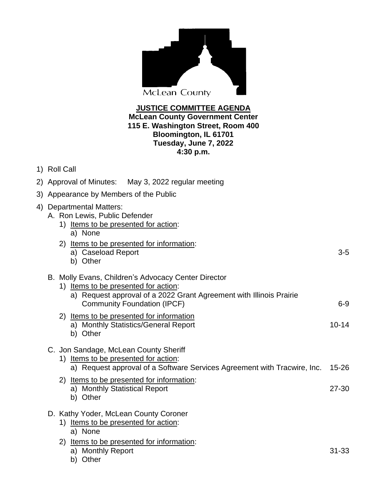| <b>McLean County</b>            |  |
|---------------------------------|--|
| <b>JUSTICE COMMITTEE AGENDA</b> |  |

## **McLean County Government Center 115 E. Washington Street, Room 400 Bloomington, IL 61701 Tuesday, June 7, 2022 4:30 p.m.**

1) Roll Call

|    | 2) Approval of Minutes: May 3, 2022 regular meeting                                                                                                                                                      |           |
|----|----------------------------------------------------------------------------------------------------------------------------------------------------------------------------------------------------------|-----------|
|    | 3) Appearance by Members of the Public                                                                                                                                                                   |           |
| 4) | <b>Departmental Matters:</b><br>A. Ron Lewis, Public Defender<br>1) Items to be presented for action:<br>a) None<br>2) Items to be presented for information:<br>a) Caseload Report<br>b) Other          | $3-5$     |
|    | B. Molly Evans, Children's Advocacy Center Director<br>1) Items to be presented for action:<br>a) Request approval of a 2022 Grant Agreement with Illinois Prairie<br><b>Community Foundation (IPCF)</b> | $6-9$     |
|    | 2) Items to be presented for information<br>a) Monthly Statistics/General Report<br>b) Other                                                                                                             | $10 - 14$ |
|    | C. Jon Sandage, McLean County Sheriff<br>1) Items to be presented for action:<br>a) Request approval of a Software Services Agreement with Tracwire, Inc.                                                | $15 - 26$ |
|    | 2) Items to be presented for information:<br>a) Monthly Statistical Report<br>b) Other                                                                                                                   | $27 - 30$ |
|    | D. Kathy Yoder, McLean County Coroner                                                                                                                                                                    |           |

- 1) Items to be presented for action:
	- a) None
- 2) Items to be presented for information:
	- a) Monthly Report 31-33
	- b) Other